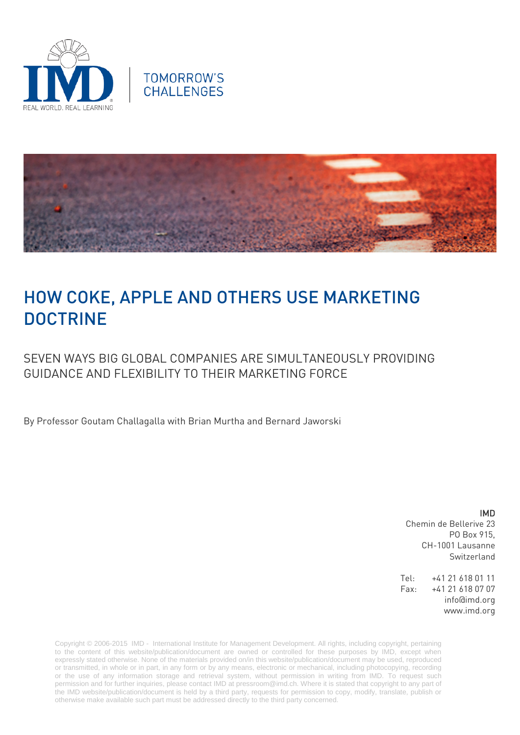





# HOW COKE, APPLE AND OTHERS USE MARKETING **DOCTRINE**

SEVEN WAYS BIG GLOBAL COMPANIES ARE SIMULTANEOUSLY PROVIDING GUIDANCE AND FLEXIBILITY TO THEIR MARKETING FORCE

By Professor Goutam Challagalla with Brian Murtha and Bernard Jaworski

#### IMD

Chemin de Bellerive 23 PO Box 915, CH-1001 Lausanne Switzerland

Tel: +41 21 618 01 11 Fax: +41 21 618 07 07 info@imd.org www.imd.org

Copyright © 2006-2015 IMD - International Institute for Management Development. All rights, including copyright, pertaining to the content of this website/publication/document are owned or controlled for these purposes by IMD, except when expressly stated otherwise. None of the materials provided on/in this website/publication/document may be used, reproduced or transmitted, in whole or in part, in any form or by any means, electronic or mechanical, including photocopying, recording or the use of any information storage and retrieval system, without permission in writing from IMD. To request such permission and for further inquiries, please contact IMD at [pressroom@imd.ch.](mailto:pressroom@imd.ch) Where it is stated that copyright to any part of the IMD website/publication/document is held by a third party, requests for permission to copy, modify, translate, publish or otherwise make available such part must be addressed directly to the third party concerned.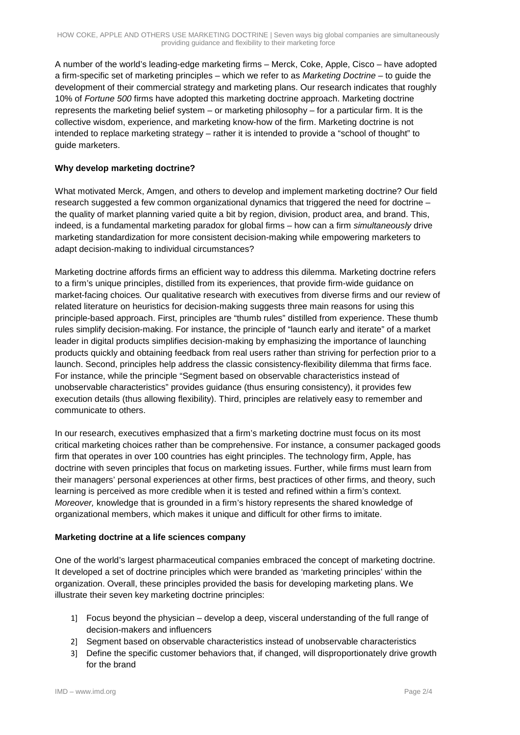A number of the world's leading-edge marketing firms – Merck, Coke, Apple, Cisco – have adopted a firm-specific set of marketing principles – which we refer to as *Marketing Doctrine* – to guide the development of their commercial strategy and marketing plans. Our research indicates that roughly 10% of *Fortune 500* firms have adopted this marketing doctrine approach. Marketing doctrine represents the marketing belief system – or marketing philosophy – for a particular firm. It is the collective wisdom, experience, and marketing know-how of the firm. Marketing doctrine is not intended to replace marketing strategy – rather it is intended to provide a "school of thought" to guide marketers.

### **Why develop marketing doctrine?**

What motivated Merck, Amgen, and others to develop and implement marketing doctrine? Our field research suggested a few common organizational dynamics that triggered the need for doctrine – the quality of market planning varied quite a bit by region, division, product area, and brand. This, indeed, is a fundamental marketing paradox for global firms – how can a firm *simultaneously* drive marketing standardization for more consistent decision-making while empowering marketers to adapt decision-making to individual circumstances?

Marketing doctrine affords firms an efficient way to address this dilemma. Marketing doctrine refers to a firm's unique principles, distilled from its experiences, that provide firm-wide guidance on market-facing choices*.* Our qualitative research with executives from diverse firms and our review of related literature on heuristics for decision-making suggests three main reasons for using this principle-based approach. First, principles are "thumb rules" distilled from experience. These thumb rules simplify decision-making. For instance, the principle of "launch early and iterate" of a market leader in digital products simplifies decision-making by emphasizing the importance of launching products quickly and obtaining feedback from real users rather than striving for perfection prior to a launch. Second, principles help address the classic consistency-flexibility dilemma that firms face. For instance, while the principle "Segment based on observable characteristics instead of unobservable characteristics" provides guidance (thus ensuring consistency), it provides few execution details (thus allowing flexibility). Third, principles are relatively easy to remember and communicate to others.

In our research, executives emphasized that a firm's marketing doctrine must focus on its most critical marketing choices rather than be comprehensive. For instance, a consumer packaged goods firm that operates in over 100 countries has eight principles. The technology firm, Apple, has doctrine with seven principles that focus on marketing issues. Further, while firms must learn from their managers' personal experiences at other firms, best practices of other firms, and theory, such learning is perceived as more credible when it is tested and refined within a firm's context. *Moreover,* knowledge that is grounded in a firm's history represents the shared knowledge of organizational members, which makes it unique and difficult for other firms to imitate.

#### **Marketing doctrine at a life sciences company**

One of the world's largest pharmaceutical companies embraced the concept of marketing doctrine. It developed a set of doctrine principles which were branded as 'marketing principles' within the organization. Overall, these principles provided the basis for developing marketing plans. We illustrate their seven key marketing doctrine principles:

- 1] Focus beyond the physician develop a deep, visceral understanding of the full range of decision-makers and influencers
- 2] Segment based on observable characteristics instead of unobservable characteristics
- 3] Define the specific customer behaviors that, if changed, will disproportionately drive growth for the brand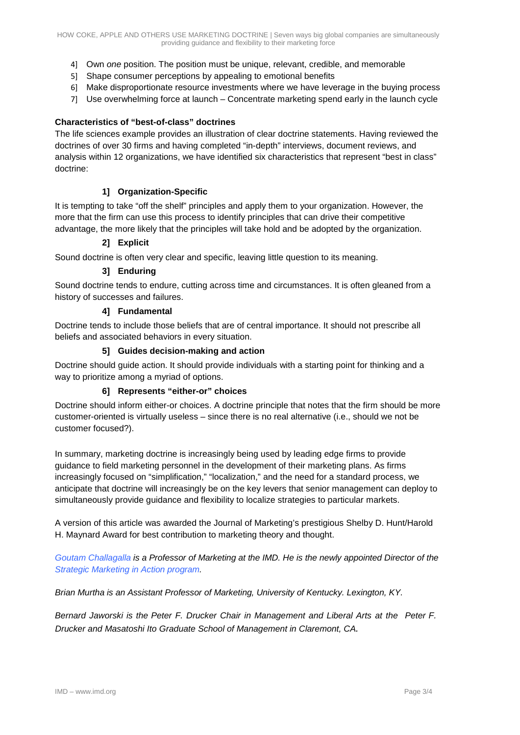- 4] Own *one* position. The position must be unique, relevant, credible, and memorable
- 5] Shape consumer perceptions by appealing to emotional benefits
- 6] Make disproportionate resource investments where we have leverage in the buying process
- 7] Use overwhelming force at launch Concentrate marketing spend early in the launch cycle

#### **Characteristics of "best-of-class" doctrines**

The life sciences example provides an illustration of clear doctrine statements. Having reviewed the doctrines of over 30 firms and having completed "in-depth" interviews, document reviews, and analysis within 12 organizations, we have identified six characteristics that represent "best in class" doctrine:

### **1] Organization-Specific**

It is tempting to take "off the shelf" principles and apply them to your organization. However, the more that the firm can use this process to identify principles that can drive their competitive advantage, the more likely that the principles will take hold and be adopted by the organization.

### **2] Explicit**

Sound doctrine is often very clear and specific, leaving little question to its meaning.

### **3] Enduring**

Sound doctrine tends to endure, cutting across time and circumstances. It is often gleaned from a history of successes and failures.

#### **4] Fundamental**

Doctrine tends to include those beliefs that are of central importance. It should not prescribe all beliefs and associated behaviors in every situation.

#### **5] Guides decision-making and action**

Doctrine should guide action. It should provide individuals with a starting point for thinking and a way to prioritize among a myriad of options.

## **6] Represents "either-or" choices**

Doctrine should inform either-or choices. A doctrine principle that notes that the firm should be more customer-oriented is virtually useless – since there is no real alternative (i.e., should we not be customer focused?).

In summary, marketing doctrine is increasingly being used by leading edge firms to provide guidance to field marketing personnel in the development of their marketing plans. As firms increasingly focused on "simplification," "localization," and the need for a standard process, we anticipate that doctrine will increasingly be on the key levers that senior management can deploy to simultaneously provide guidance and flexibility to localize strategies to particular markets.

A version of this article was awarded the Journal of Marketing's prestigious Shelby D. Hunt/Harold H. Maynard Award for best contribution to marketing theory and thought.

*[Goutam Challagalla](http://www.imd.org/about/facultystaff/Goutam-Challagalla.cfm) is a Professor of Marketing at the IMD. He is the newly appointed Director of the [Strategic Marketing in Action program.](http://www.imd.org/executive-education/sma/strategic-marketing/description-dates-fees/)* 

*Brian Murtha is an Assistant Professor of Marketing, University of Kentucky. Lexington, KY.*

*Bernard Jaworski is the Peter F. Drucker Chair in Management and Liberal Arts at the Peter F. Drucker and Masatoshi Ito Graduate School of Management in Claremont, CA.*